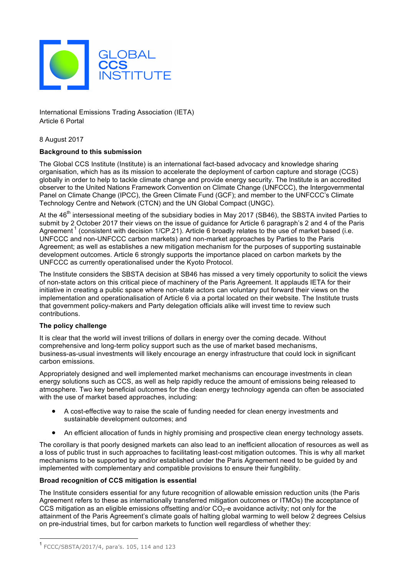

International Emissions Trading Association (IETA) Article 6 Portal

8 August 2017

# **Background to this submission**

The Global CCS Institute (Institute) is an international fact-based advocacy and knowledge sharing organisation, which has as its mission to accelerate the deployment of carbon capture and storage (CCS) globally in order to help to tackle climate change and provide energy security. The Institute is an accredited observer to the United Nations Framework Convention on Climate Change (UNFCCC), the Intergovernmental Panel on Climate Change (IPCC), the Green Climate Fund (GCF); and member to the UNFCCC's Climate Technology Centre and Network (CTCN) and the UN Global Compact (UNGC).

At the 46<sup>th</sup> intersessional meeting of the subsidiary bodies in May 2017 (SB46), the SBSTA invited Parties to submit by 2 October 2017 their views on the issue of guidance for Article 6 paragraph's 2 and 4 of the Paris Agreement<sup>1</sup> (consistent with decision 1/CP.21). Article 6 broadly relates to the use of market based (i.e. UNFCCC and non-UNFCCC carbon markets) and non-market approaches by Parties to the Paris Agreement; as well as establishes a new mitigation mechanism for the purposes of supporting sustainable development outcomes. Article 6 strongly supports the importance placed on carbon markets by the UNFCCC as currently operationalised under the Kyoto Protocol.

The Institute considers the SBSTA decision at SB46 has missed a very timely opportunity to solicit the views of non-state actors on this critical piece of machinery of the Paris Agreement. It applauds IETA for their initiative in creating a public space where non-state actors can voluntary put forward their views on the implementation and operationalisation of Article 6 via a portal located on their website. The Institute trusts that government policy-makers and Party delegation officials alike will invest time to review such contributions.

## **The policy challenge**

It is clear that the world will invest trillions of dollars in energy over the coming decade. Without comprehensive and long-term policy support such as the use of market based mechanisms, business-as-usual investments will likely encourage an energy infrastructure that could lock in significant carbon emissions.

Appropriately designed and well implemented market mechanisms can encourage investments in clean energy solutions such as CCS, as well as help rapidly reduce the amount of emissions being released to atmosphere. Two key beneficial outcomes for the clean energy technology agenda can often be associated with the use of market based approaches, including:

- A cost-effective way to raise the scale of funding needed for clean energy investments and sustainable development outcomes; and
- An efficient allocation of funds in highly promising and prospective clean energy technology assets.

The corollary is that poorly designed markets can also lead to an inefficient allocation of resources as well as a loss of public trust in such approaches to facilitating least-cost mitigation outcomes. This is why all market mechanisms to be supported by and/or established under the Paris Agreement need to be guided by and implemented with complementary and compatible provisions to ensure their fungibility.

## **Broad recognition of CCS mitigation is essential**

The Institute considers essential for any future recognition of allowable emission reduction units (the Paris Agreement refers to these as internationally transferred mitigation outcomes or ITMOs) the acceptance of CCS mitigation as an eligible emissions offsetting and/or  $CO<sub>2</sub>$ -e avoidance activity; not only for the attainment of the Paris Agreement's climate goals of halting global warming to well below 2 degrees Celsius on pre-industrial times, but for carbon markets to function well regardless of whether they:

 <sup>1</sup> FCCC/SBSTA/2017/4, para's. 105, 114 and 123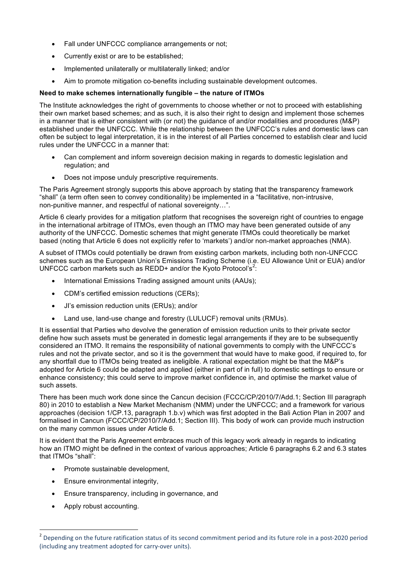- Fall under UNFCCC compliance arrangements or not;
- Currently exist or are to be established;
- Implemented unilaterally or multilaterally linked; and/or
- Aim to promote mitigation co-benefits including sustainable development outcomes.

## **Need to make schemes internationally fungible – the nature of ITMOs**

The Institute acknowledges the right of governments to choose whether or not to proceed with establishing their own market based schemes; and as such, it is also their right to design and implement those schemes in a manner that is either consistent with (or not) the guidance of and/or modalities and procedures (M&P) established under the UNFCCC. While the relationship between the UNFCCC's rules and domestic laws can often be subject to legal interpretation, it is in the interest of all Parties concerned to establish clear and lucid rules under the UNFCCC in a manner that:

- Can complement and inform sovereign decision making in regards to domestic legislation and regulation; and
- Does not impose unduly prescriptive requirements.

The Paris Agreement strongly supports this above approach by stating that the transparency framework "shall" (a term often seen to convey conditionality) be implemented in a "facilitative, non-intrusive, non-punitive manner, and respectful of national sovereignty…".

Article 6 clearly provides for a mitigation platform that recognises the sovereign right of countries to engage in the international arbitrage of ITMOs, even though an ITMO may have been generated outside of any authority of the UNFCCC. Domestic schemes that might generate ITMOs could theoretically be market based (noting that Article 6 does not explicitly refer to 'markets') and/or non-market approaches (NMA).

A subset of ITMOs could potentially be drawn from existing carbon markets, including both non-UNFCCC schemes such as the European Union's Emissions Trading Scheme (i.e. EU Allowance Unit or EUA) and/or UNFCCC carbon markets such as REDD+ and/or the Kyoto Protocol's<sup>2</sup>:

- International Emissions Trading assigned amount units (AAUs);
- CDM's certified emission reductions (CERs);
- JI's emission reduction units (ERUs); and/or
- Land use, land-use change and forestry (LULUCF) removal units (RMUs).

It is essential that Parties who devolve the generation of emission reduction units to their private sector define how such assets must be generated in domestic legal arrangements if they are to be subsequently considered an ITMO. It remains the responsibility of national governments to comply with the UNFCCC's rules and not the private sector, and so it is the government that would have to make good, if required to, for any shortfall due to ITMOs being treated as ineligible. A rational expectation might be that the M&P's adopted for Article 6 could be adapted and applied (either in part of in full) to domestic settings to ensure or enhance consistency; this could serve to improve market confidence in, and optimise the market value of such assets.

There has been much work done since the Cancun decision (FCCC/CP/2010/7/Add.1; Section III paragraph 80) in 2010 to establish a New Market Mechanism (NMM) under the UNFCCC; and a framework for various approaches (decision 1/CP.13, paragraph 1.b.v) which was first adopted in the Bali Action Plan in 2007 and formalised in Cancun (FCCC/CP/2010/7/Add.1; Section III). This body of work can provide much instruction on the many common issues under Article 6.

It is evident that the Paris Agreement embraces much of this legacy work already in regards to indicating how an ITMO might be defined in the context of various approaches; Article 6 paragraphs 6.2 and 6.3 states that ITMOs "shall":

- Promote sustainable development,
- Ensure environmental integrity,
- Ensure transparency, including in governance, and
- Apply robust accounting.

<u> 1989 - Johann Barn, mars eta bainar eta industrial eta baina eta baina eta baina eta baina eta baina eta bain</u>

 $2$  Depending on the future ratification status of its second commitment period and its future role in a post-2020 period (including any treatment adopted for carry-over units).